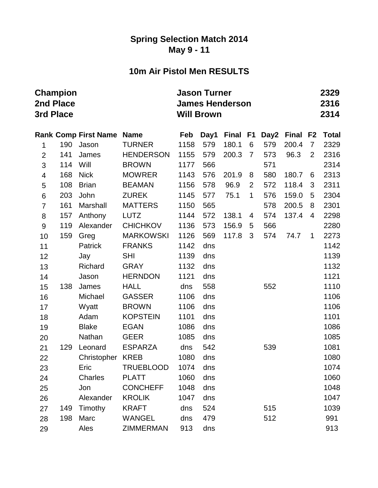#### **Spring Selection Match 2014 May 9 - 11**

## **10m Air Pistol Men RESULTS**

| 3rd Place        | <b>Champion</b><br>2nd Place |                             |                  | <b>Jason Turner</b><br><b>James Henderson</b><br><b>Will Brown</b> |      |       | 2329<br>2316<br>2314 |      |          |                |              |
|------------------|------------------------------|-----------------------------|------------------|--------------------------------------------------------------------|------|-------|----------------------|------|----------|----------------|--------------|
|                  |                              | <b>Rank Comp First Name</b> | <b>Name</b>      | Feb                                                                | Day1 | Final | F <sub>1</sub>       | Day2 | Final F2 |                | <b>Total</b> |
| 1                | 190                          | Jason                       | <b>TURNER</b>    | 1158                                                               | 579  | 180.1 | 6                    | 579  | 200.4    | $\overline{7}$ | 2329         |
| $\overline{2}$   | 141                          | James                       | <b>HENDERSON</b> | 1155                                                               | 579  | 200.3 | $\overline{7}$       | 573  | 96.3     | 2              | 2316         |
| 3                | 114                          | Will                        | <b>BROWN</b>     | 1177                                                               | 566  |       |                      | 571  |          |                | 2314         |
| 4                | 168                          | <b>Nick</b>                 | <b>MOWRER</b>    | 1143                                                               | 576  | 201.9 | 8                    | 580  | 180.7    | 6              | 2313         |
| 5                | 108                          | <b>Brian</b>                | <b>BEAMAN</b>    | 1156                                                               | 578  | 96.9  | $\overline{2}$       | 572  | 118.4    | 3              | 2311         |
| $\,6$            | 203                          | John                        | <b>ZUREK</b>     | 1145                                                               | 577  | 75.1  | $\mathbf 1$          | 576  | 159.0    | 5              | 2304         |
| $\overline{7}$   | 161                          | Marshall                    | <b>MATTERS</b>   | 1150                                                               | 565  |       |                      | 578  | 200.5    | 8              | 2301         |
| 8                | 157                          | Anthony                     | <b>LUTZ</b>      | 1144                                                               | 572  | 138.1 | 4                    | 574  | 137.4    | 4              | 2298         |
| $\boldsymbol{9}$ | 119                          | Alexander                   | <b>CHICHKOV</b>  | 1136                                                               | 573  | 156.9 | 5                    | 566  |          |                | 2280         |
| 10               | 159                          | Greg                        | <b>MARKOWSKI</b> | 1126                                                               | 569  | 117.8 | 3                    | 574  | 74.7     | $\mathbf 1$    | 2273         |
| 11               |                              | Patrick                     | <b>FRANKS</b>    | 1142                                                               | dns  |       |                      |      |          |                | 1142         |
| 12               |                              | Jay                         | <b>SHI</b>       | 1139                                                               | dns  |       |                      |      |          |                | 1139         |
| 13               |                              | Richard                     | <b>GRAY</b>      | 1132                                                               | dns  |       |                      |      |          |                | 1132         |
| 14               |                              | Jason                       | <b>HERNDON</b>   | 1121                                                               | dns  |       |                      |      |          |                | 1121         |
| 15               | 138                          | James                       | <b>HALL</b>      | dns                                                                | 558  |       |                      | 552  |          |                | 1110         |
| 16               |                              | Michael                     | <b>GASSER</b>    | 1106                                                               | dns  |       |                      |      |          |                | 1106         |
| 17               |                              | Wyatt                       | <b>BROWN</b>     | 1106                                                               | dns  |       |                      |      |          |                | 1106         |
| 18               |                              | Adam                        | <b>KOPSTEIN</b>  | 1101                                                               | dns  |       |                      |      |          |                | 1101         |
| 19               |                              | <b>Blake</b>                | <b>EGAN</b>      | 1086                                                               | dns  |       |                      |      |          |                | 1086         |
| 20               |                              | Nathan                      | <b>GEER</b>      | 1085                                                               | dns  |       |                      |      |          |                | 1085         |
| 21               | 129                          | Leonard                     | <b>ESPARZA</b>   | dns                                                                | 542  |       |                      | 539  |          |                | 1081         |
| 22               |                              | Christopher KREB            |                  | 1080                                                               | dns  |       |                      |      |          |                | 1080         |
| 23               |                              | Eric                        | <b>TRUEBLOOD</b> | 1074                                                               | dns  |       |                      |      |          |                | 1074         |
| 24               |                              | Charles                     | <b>PLATT</b>     | 1060                                                               | dns  |       |                      |      |          |                | 1060         |
| 25               |                              | Jon                         | <b>CONCHEFF</b>  | 1048                                                               | dns  |       |                      |      |          |                | 1048         |
| 26               |                              | Alexander                   | <b>KROLIK</b>    | 1047                                                               | dns  |       |                      |      |          |                | 1047         |
| 27               | 149                          | Timothy                     | <b>KRAFT</b>     | dns                                                                | 524  |       |                      | 515  |          |                | 1039         |
| 28               | 198                          | Marc                        | <b>WANGEL</b>    | dns                                                                | 479  |       |                      | 512  |          |                | 991          |
| 29               |                              | Ales                        | <b>ZIMMERMAN</b> | 913                                                                | dns  |       |                      |      |          |                | 913          |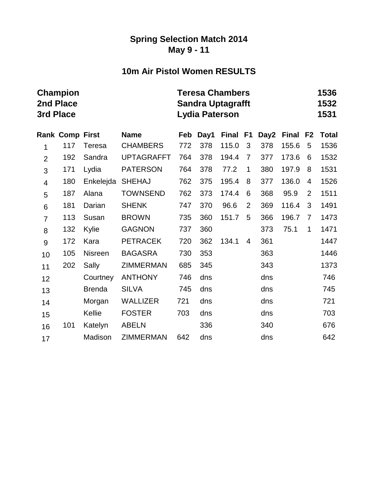#### **Spring Selection Match 2014 May 9 - 11**

## **10m Air Pistol Women RESULTS**

|                          | <b>Champion</b><br>2nd Place<br>3rd Place |                |                   |     | <b>Teresa Chambers</b><br><b>Sandra Uptagrafft</b><br><b>Lydia Paterson</b> | 1536<br>1532<br>1531 |                |      |              |                |              |
|--------------------------|-------------------------------------------|----------------|-------------------|-----|-----------------------------------------------------------------------------|----------------------|----------------|------|--------------|----------------|--------------|
|                          | <b>Rank Comp First</b>                    |                | <b>Name</b>       | Feb | Day1                                                                        | <b>Final</b>         | F <sub>1</sub> | Day2 | <b>Final</b> | F <sub>2</sub> | <b>Total</b> |
| 1                        | 117                                       | Teresa         | <b>CHAMBERS</b>   | 772 | 378                                                                         | 115.0                | 3              | 378  | 155.6        | 5              | 1536         |
| $\overline{2}$           | 192                                       | Sandra         | <b>UPTAGRAFFT</b> | 764 | 378                                                                         | 194.4                | $\overline{7}$ | 377  | 173.6        | 6              | 1532         |
| 3                        | 171                                       | Lydia          | <b>PATERSON</b>   | 764 | 378                                                                         | 77.2                 | 1              | 380  | 197.9        | 8              | 1531         |
| $\overline{\mathcal{A}}$ | 180                                       | Enkelejda      | <b>SHEHAJ</b>     | 762 | 375                                                                         | 195.4                | 8              | 377  | 136.0        | $\overline{4}$ | 1526         |
| 5                        | 187                                       | Alana          | <b>TOWNSEND</b>   | 762 | 373                                                                         | 174.4                | 6              | 368  | 95.9         | $\overline{2}$ | 1511         |
| 6                        | 181                                       | Darian         | <b>SHENK</b>      | 747 | 370                                                                         | 96.6                 | $\overline{2}$ | 369  | 116.4        | 3              | 1491         |
| $\overline{7}$           | 113                                       | Susan          | <b>BROWN</b>      | 735 | 360                                                                         | 151.7                | 5              | 366  | 196.7        | $\overline{7}$ | 1473         |
| 8                        | 132                                       | Kylie          | <b>GAGNON</b>     | 737 | 360                                                                         |                      |                | 373  | 75.1         | 1              | 1471         |
| $\mathsf 9$              | 172                                       | Kara           | <b>PETRACEK</b>   | 720 | 362                                                                         | 134.1                | 4              | 361  |              |                | 1447         |
| 10                       | 105                                       | <b>Nisreen</b> | <b>BAGASRA</b>    | 730 | 353                                                                         |                      |                | 363  |              |                | 1446         |
| 11                       | 202                                       | Sally          | <b>ZIMMERMAN</b>  | 685 | 345                                                                         |                      |                | 343  |              |                | 1373         |
| 12                       |                                           | Courtney       | <b>ANTHONY</b>    | 746 | dns                                                                         |                      |                | dns  |              |                | 746          |
| 13                       |                                           | <b>Brenda</b>  | <b>SILVA</b>      | 745 | dns                                                                         |                      |                | dns  |              |                | 745          |
| 14                       |                                           | Morgan         | <b>WALLIZER</b>   | 721 | dns                                                                         |                      |                | dns  |              |                | 721          |
| 15                       |                                           | Kellie         | <b>FOSTER</b>     | 703 | dns                                                                         |                      |                | dns  |              |                | 703          |
| 16                       | 101                                       | Katelyn        | <b>ABELN</b>      |     | 336                                                                         |                      |                | 340  |              |                | 676          |
| 17                       |                                           | Madison        | <b>ZIMMERMAN</b>  | 642 | dns                                                                         |                      |                | dns  |              |                | 642          |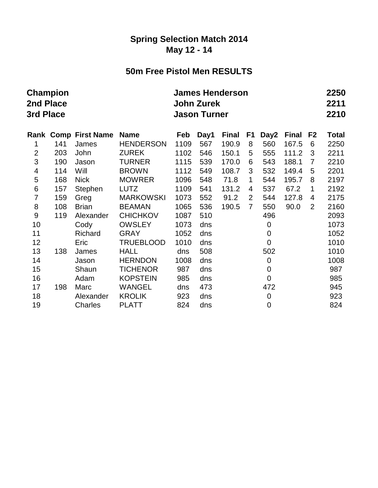#### **Spring Selection Match 2014 May 12 - 14**

## **50m Free Pistol Men RESULTS**

| 2nd Place<br>3rd Place  | <b>Champion</b> |                             |                  | <b>James Henderson</b><br><b>John Zurek</b><br><b>Jason Turner</b> |      |              |                |                |              |                |              |  |
|-------------------------|-----------------|-----------------------------|------------------|--------------------------------------------------------------------|------|--------------|----------------|----------------|--------------|----------------|--------------|--|
|                         |                 | <b>Rank Comp First Name</b> | <b>Name</b>      | Feb                                                                | Day1 | <b>Final</b> | F1             | Day2           | <b>Final</b> | F <sub>2</sub> | <b>Total</b> |  |
| 1                       | 141             | James                       | <b>HENDERSON</b> | 1109                                                               | 567  | 190.9        | 8              | 560            | 167.5        | 6              | 2250         |  |
| $\overline{2}$          | 203             | John                        | <b>ZUREK</b>     | 1102                                                               | 546  | 150.1        | 5              | 555            | 111.2        | 3              | 2211         |  |
| 3                       | 190             | Jason                       | <b>TURNER</b>    | 1115                                                               | 539  | 170.0        | 6              | 543            | 188.1        | 7              | 2210         |  |
| $\overline{\mathbf{4}}$ | 114             | Will                        | <b>BROWN</b>     | 1112                                                               | 549  | 108.7        | 3              | 532            | 149.4        | 5              | 2201         |  |
| 5                       | 168             | <b>Nick</b>                 | <b>MOWRER</b>    | 1096                                                               | 548  | 71.8         | 1              | 544            | 195.7        | 8              | 2197         |  |
| $\,6$                   | 157             | Stephen                     | <b>LUTZ</b>      | 1109                                                               | 541  | 131.2        | 4              | 537            | 67.2         | 1              | 2192         |  |
| 7                       | 159             | Greg                        | <b>MARKOWSKI</b> | 1073                                                               | 552  | 91.2         | $\overline{2}$ | 544            | 127.8        | 4              | 2175         |  |
| 8                       | 108             | <b>Brian</b>                | <b>BEAMAN</b>    | 1065                                                               | 536  | 190.5        | $\overline{7}$ | 550            | 90.0         | $\overline{2}$ | 2160         |  |
| $9$                     | 119             | Alexander                   | <b>CHICHKOV</b>  | 1087                                                               | 510  |              |                | 496            |              |                | 2093         |  |
| 10                      |                 | Cody                        | <b>OWSLEY</b>    | 1073                                                               | dns  |              |                | $\mathbf 0$    |              |                | 1073         |  |
| 11                      |                 | Richard                     | <b>GRAY</b>      | 1052                                                               | dns  |              |                | 0              |              |                | 1052         |  |
| 12                      |                 | Eric                        | <b>TRUEBLOOD</b> | 1010                                                               | dns  |              |                | $\overline{0}$ |              |                | 1010         |  |
| 13                      | 138             | James                       | <b>HALL</b>      | dns                                                                | 508  |              |                | 502            |              |                | 1010         |  |
| 14                      |                 | Jason                       | <b>HERNDON</b>   | 1008                                                               | dns  |              |                | $\mathbf 0$    |              |                | 1008         |  |
| 15                      |                 | Shaun                       | <b>TICHENOR</b>  | 987                                                                | dns  |              |                | 0              |              |                | 987          |  |
| 16                      |                 | Adam                        | <b>KOPSTEIN</b>  | 985                                                                | dns  |              |                | $\overline{0}$ |              |                | 985          |  |
| 17                      | 198             | Marc                        | <b>WANGEL</b>    | dns                                                                | 473  |              |                | 472            |              |                | 945          |  |
| 18                      |                 | Alexander                   | <b>KROLIK</b>    | 923                                                                | dns  |              |                | $\mathbf 0$    |              |                | 923          |  |
| 19                      |                 | Charles                     | <b>PLATT</b>     | 824                                                                | dns  |              |                | 0              |              |                | 824          |  |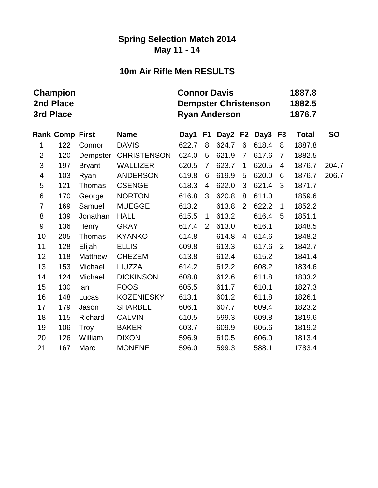#### **Spring Selection Match 2014 May 11 - 14**

## **10m Air Rifle Men RESULTS**

|                         | <b>Champion</b><br>2nd Place<br>3rd Place |                |                    | <b>Connor Davis</b> |                | <b>Dempster Christenson</b><br><b>Ryan Anderson</b> |                |                 | 1887.8<br>1882.5<br>1876.7 |              |           |
|-------------------------|-------------------------------------------|----------------|--------------------|---------------------|----------------|-----------------------------------------------------|----------------|-----------------|----------------------------|--------------|-----------|
|                         | <b>Rank Comp First</b>                    |                | <b>Name</b>        | Day1                | F <sub>1</sub> |                                                     |                | Day2 F2 Day3 F3 |                            | <b>Total</b> | <b>SO</b> |
| 1                       | 122                                       | Connor         | <b>DAVIS</b>       | 622.7               | 8              | 624.7                                               | 6              | 618.4           | 8                          | 1887.8       |           |
| $\overline{2}$          | 120                                       | Dempster       | <b>CHRISTENSON</b> | 624.0               | 5              | 621.9                                               | $\overline{7}$ | 617.6           | $\overline{7}$             | 1882.5       |           |
| 3                       | 197                                       | <b>Bryant</b>  | <b>WALLIZER</b>    | 620.5               | $\overline{7}$ | 623.7                                               | $\mathbf 1$    | 620.5           | $\overline{4}$             | 1876.7       | 204.7     |
| $\overline{\mathbf{4}}$ | 103                                       | Ryan           | <b>ANDERSON</b>    | 619.8               | 6              | 619.9                                               | 5              | 620.0           | 6                          | 1876.7       | 206.7     |
| 5                       | 121                                       | Thomas         | <b>CSENGE</b>      | 618.3               | $\overline{4}$ | 622.0                                               | 3              | 621.4           | 3                          | 1871.7       |           |
| 6                       | 170                                       | George         | <b>NORTON</b>      | 616.8               | 3              | 620.8                                               | 8              | 611.0           |                            | 1859.6       |           |
| $\overline{7}$          | 169                                       | Samuel         | <b>MUEGGE</b>      | 613.2               |                | 613.8                                               | $\overline{2}$ | 622.2           | $\mathbf{1}$               | 1852.2       |           |
| 8                       | 139                                       | Jonathan       | <b>HALL</b>        | 615.5               | $\mathbf{1}$   | 613.2                                               |                | 616.4           | 5                          | 1851.1       |           |
| $\boldsymbol{9}$        | 136                                       | Henry          | <b>GRAY</b>        | 617.4               | 2              | 613.0                                               |                | 616.1           |                            | 1848.5       |           |
| 10                      | 205                                       | Thomas         | <b>KYANKO</b>      | 614.8               |                | 614.8                                               | $\overline{4}$ | 614.6           |                            | 1848.2       |           |
| 11                      | 128                                       | Elijah         | <b>ELLIS</b>       | 609.8               |                | 613.3                                               |                | 617.6           | 2                          | 1842.7       |           |
| 12                      | 118                                       | <b>Matthew</b> | <b>CHEZEM</b>      | 613.8               |                | 612.4                                               |                | 615.2           |                            | 1841.4       |           |
| 13                      | 153                                       | Michael        | LIUZZA             | 614.2               |                | 612.2                                               |                | 608.2           |                            | 1834.6       |           |
| 14                      | 124                                       | Michael        | <b>DICKINSON</b>   | 608.8               |                | 612.6                                               |                | 611.8           |                            | 1833.2       |           |
| 15                      | 130                                       | lan            | <b>FOOS</b>        | 605.5               |                | 611.7                                               |                | 610.1           |                            | 1827.3       |           |
| 16                      | 148                                       | Lucas          | <b>KOZENIESKY</b>  | 613.1               |                | 601.2                                               |                | 611.8           |                            | 1826.1       |           |
| 17                      | 179                                       | Jason          | <b>SHARBEL</b>     | 606.1               |                | 607.7                                               |                | 609.4           |                            | 1823.2       |           |
| 18                      | 115                                       | Richard        | <b>CALVIN</b>      | 610.5               |                | 599.3                                               |                | 609.8           |                            | 1819.6       |           |
| 19                      | 106                                       | Troy           | <b>BAKER</b>       | 603.7               |                | 609.9                                               |                | 605.6           |                            | 1819.2       |           |
| 20                      | 126                                       | William        | <b>DIXON</b>       | 596.9               |                | 610.5                                               |                | 606.0           |                            | 1813.4       |           |
| 21                      | 167                                       | Marc           | <b>MONENE</b>      | 596.0               |                | 599.3                                               |                | 588.1           |                            | 1783.4       |           |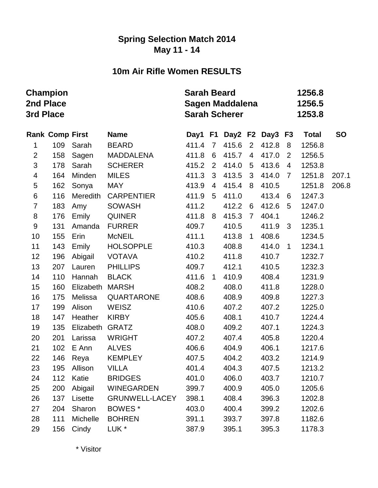### **Spring Selection Match 2014 May 11 - 14**

# **10m Air Rifle Women RESULTS**

| 2nd Place<br>3rd Place | Champion               |           |                       | <b>Sarah Beard</b> |                | <b>Sagen Maddalena</b><br><b>Sarah Scherer</b> |                 |                 |                |              |           |
|------------------------|------------------------|-----------|-----------------------|--------------------|----------------|------------------------------------------------|-----------------|-----------------|----------------|--------------|-----------|
|                        | <b>Rank Comp First</b> |           | <b>Name</b>           | Day1 F1            |                |                                                |                 | Day2 F2 Day3 F3 |                | <b>Total</b> | <b>SO</b> |
| 1                      | 109                    | Sarah     | <b>BEARD</b>          | 411.4              | $\overline{7}$ | 415.6                                          | $2^{\circ}$     | 412.8           | 8              | 1256.8       |           |
| $\overline{2}$         | 158                    | Sagen     | <b>MADDALENA</b>      | 411.8              | 6              | 415.7                                          | $\overline{4}$  | 417.0           | 2              | 1256.5       |           |
| 3                      | 178                    | Sarah     | <b>SCHERER</b>        | 415.2              | $\overline{2}$ | 414.0                                          | $5\phantom{.0}$ | 413.6           | 4              | 1253.8       |           |
| 4                      | 164                    | Minden    | <b>MILES</b>          | 411.3              | $\mathbf{3}$   | 413.5                                          | 3               | 414.0           | $\overline{7}$ | 1251.8       | 207.1     |
| 5                      | 162                    | Sonya     | <b>MAY</b>            | 413.9              | $\overline{4}$ | 415.4                                          | 8               | 410.5           |                | 1251.8       | 206.8     |
| 6                      | 116                    | Meredith  | <b>CARPENTIER</b>     | 411.9              | 5              | 411.0                                          |                 | 413.4           | 6              | 1247.3       |           |
| $\overline{7}$         | 183                    | Amy       | <b>SOWASH</b>         | 411.2              |                | 412.2                                          | 6               | 412.6           | 5              | 1247.0       |           |
| 8                      | 176                    | Emily     | <b>QUINER</b>         | 411.8              | 8              | 415.3                                          | $\overline{7}$  | 404.1           |                | 1246.2       |           |
| 9                      | 131                    | Amanda    | <b>FURRER</b>         | 409.7              |                | 410.5                                          |                 | 411.9           | 3              | 1235.1       |           |
| 10                     | 155                    | Erin      | <b>McNEIL</b>         | 411.1              |                | 413.8                                          | $\mathbf{1}$    | 408.6           |                | 1234.5       |           |
| 11                     | 143                    | Emily     | <b>HOLSOPPLE</b>      | 410.3              |                | 408.8                                          |                 | 414.0           | $\mathbf{1}$   | 1234.1       |           |
| 12                     | 196                    | Abigail   | <b>VOTAVA</b>         | 410.2              |                | 411.8                                          |                 | 410.7           |                | 1232.7       |           |
| 13                     | 207                    | Lauren    | <b>PHILLIPS</b>       | 409.7              |                | 412.1                                          |                 | 410.5           |                | 1232.3       |           |
| 14                     | 110                    | Hannah    | <b>BLACK</b>          | 411.6              | $\overline{1}$ | 410.9                                          |                 | 408.4           |                | 1231.9       |           |
| 15                     | 160                    | Elizabeth | <b>MARSH</b>          | 408.2              |                | 408.0                                          |                 | 411.8           |                | 1228.0       |           |
| 16                     | 175                    | Melissa   | <b>QUARTARONE</b>     | 408.6              |                | 408.9                                          |                 | 409.8           |                | 1227.3       |           |
| 17                     | 199                    | Alison    | <b>WEISZ</b>          | 410.6              |                | 407.2                                          |                 | 407.2           |                | 1225.0       |           |
| 18                     | 147                    | Heather   | <b>KIRBY</b>          | 405.6              |                | 408.1                                          |                 | 410.7           |                | 1224.4       |           |
| 19                     | 135                    | Elizabeth | <b>GRATZ</b>          | 408.0              |                | 409.2                                          |                 | 407.1           |                | 1224.3       |           |
| 20                     | 201                    | Larissa   | <b>WRIGHT</b>         | 407.2              |                | 407.4                                          |                 | 405.8           |                | 1220.4       |           |
| 21                     | 102                    | E Ann     | <b>ALVES</b>          | 406.6              |                | 404.9                                          |                 | 406.1           |                | 1217.6       |           |
| 22                     | 146                    | Reya      | <b>KEMPLEY</b>        | 407.5              |                | 404.2                                          |                 | 403.2           |                | 1214.9       |           |
| 23                     | 195                    | Allison   | <b>VILLA</b>          | 401.4              |                | 404.3                                          |                 | 407.5           |                | 1213.2       |           |
| 24                     | 112                    | Katie     | <b>BRIDGES</b>        | 401.0              |                | 406.0                                          |                 | 403.7           |                | 1210.7       |           |
| 25                     | 200                    | Abigail   | <b>WINEGARDEN</b>     | 399.7              |                | 400.9                                          |                 | 405.0           |                | 1205.6       |           |
| 26                     | 137                    | Lisette   | <b>GRUNWELL-LACEY</b> | 398.1              |                | 408.4                                          |                 | 396.3           |                | 1202.8       |           |
| 27                     | 204                    | Sharon    | BOWES <sup>*</sup>    | 403.0              |                | 400.4                                          |                 | 399.2           |                | 1202.6       |           |
| 28                     | 111                    | Michelle  | <b>BOHREN</b>         | 391.1              |                | 393.7                                          |                 | 397.8           |                | 1182.6       |           |
| 29                     | 156                    | Cindy     | LUK <sup>*</sup>      | 387.9              |                | 395.1                                          |                 | 395.3           |                | 1178.3       |           |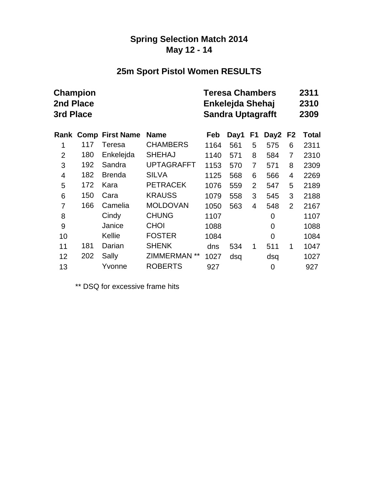### **Spring Selection Match 2014 May 12 - 14**

# **25m Sport Pistol Women RESULTS**

| <b>2nd Place</b><br>3rd Place | Champion |                             |                   |      | <b>Teresa Chambers</b><br>Enkelejda Shehaj<br><b>Sandra Uptagrafft</b> |                |      | 2311<br>2310<br>2309 |       |  |
|-------------------------------|----------|-----------------------------|-------------------|------|------------------------------------------------------------------------|----------------|------|----------------------|-------|--|
|                               |          | <b>Rank Comp First Name</b> | <b>Name</b>       | Feb  | Day1                                                                   | F1             | Day2 | F <sub>2</sub>       | Total |  |
| 1                             | 117      | Teresa                      | <b>CHAMBERS</b>   | 1164 | 561                                                                    | 5              | 575  | 6                    | 2311  |  |
| $\overline{2}$                | 180      | Enkelejda                   | <b>SHEHAJ</b>     | 1140 | 571                                                                    | 8              | 584  | 7                    | 2310  |  |
| 3                             | 192      | Sandra                      | <b>UPTAGRAFFT</b> | 1153 | 570                                                                    | $\overline{7}$ | 571  | 8                    | 2309  |  |
| $\overline{4}$                | 182      | <b>Brenda</b>               | <b>SILVA</b>      | 1125 | 568                                                                    | 6              | 566  | 4                    | 2269  |  |
| 5                             | 172      | Kara                        | <b>PETRACEK</b>   | 1076 | 559                                                                    | $\overline{2}$ | 547  | 5                    | 2189  |  |
| 6                             | 150      | Cara                        | <b>KRAUSS</b>     | 1079 | 558                                                                    | 3              | 545  | 3                    | 2188  |  |
| 7                             | 166      | Camelia                     | <b>MOLDOVAN</b>   | 1050 | 563                                                                    | 4              | 548  | $\overline{2}$       | 2167  |  |
| 8                             |          | Cindy                       | <b>CHUNG</b>      | 1107 |                                                                        |                | 0    |                      | 1107  |  |
| 9                             |          | Janice                      | <b>CHOI</b>       | 1088 |                                                                        |                | 0    |                      | 1088  |  |
| 10                            |          | Kellie                      | <b>FOSTER</b>     | 1084 |                                                                        |                | 0    |                      | 1084  |  |
| 11                            | 181      | Darian                      | <b>SHENK</b>      | dns  | 534                                                                    | 1              | 511  | 1                    | 1047  |  |
| 12                            | 202      | Sally                       | ZIMMERMAN **      | 1027 | dsq                                                                    |                | dsq  |                      | 1027  |  |
| 13                            |          | Yvonne                      | <b>ROBERTS</b>    | 927  |                                                                        |                | 0    |                      | 927   |  |

\*\* DSQ for excessive frame hits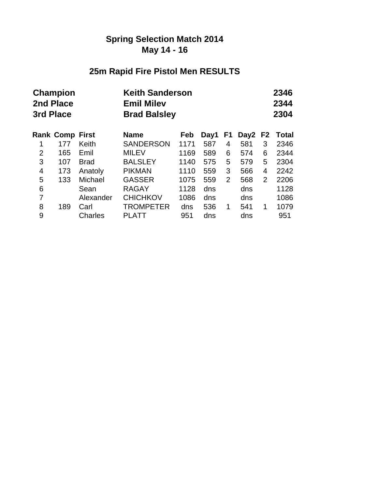## **Spring Selection Match 2014 May 14 - 16**

# **25m Rapid Fire Pistol Men RESULTS**

| 3rd Place      | <b>Champion</b><br>2nd Place |             | <b>Emil Milev</b> | <b>Keith Sanderson</b><br><b>Brad Balsley</b> |      |                |                  |    | 2346<br>2344<br>2304 |
|----------------|------------------------------|-------------|-------------------|-----------------------------------------------|------|----------------|------------------|----|----------------------|
|                | <b>Rank Comp First</b>       |             | <b>Name</b>       | Feb                                           | Day1 | F1             | Day <sub>2</sub> | F2 | <b>Total</b>         |
| 1              | 177                          | Keith       | <b>SANDERSON</b>  | 1171                                          | 587  | 4              | 581              | 3  | 2346                 |
| $\overline{2}$ | 165                          | Emil        | <b>MILEV</b>      | 1169                                          | 589  | 6              | 574              | 6  | 2344                 |
| 3              | 107                          | <b>Brad</b> | <b>BALSLEY</b>    | 1140                                          | 575  | 5              | 579              | 5  | 2304                 |
| 4              | 173                          | Anatoly     | <b>PIKMAN</b>     | 1110                                          | 559  | 3              | 566              | 4  | 2242                 |
| 5              | 133                          | Michael     | <b>GASSER</b>     | 1075                                          | 559  | $\overline{2}$ | 568              | 2  | 2206                 |
| 6              |                              | Sean        | <b>RAGAY</b>      | 1128                                          | dns  |                | dns              |    | 1128                 |
| 7              |                              | Alexander   | <b>CHICHKOV</b>   | 1086                                          | dns  |                | dns              |    | 1086                 |
| 8              | 189                          | Carl        | <b>TROMPETER</b>  | dns                                           | 536  | 1              | 541              | 1  | 1079                 |
| 9              |                              | Charles     | <b>PLATT</b>      | 951                                           | dns  |                | dns              |    | 951                  |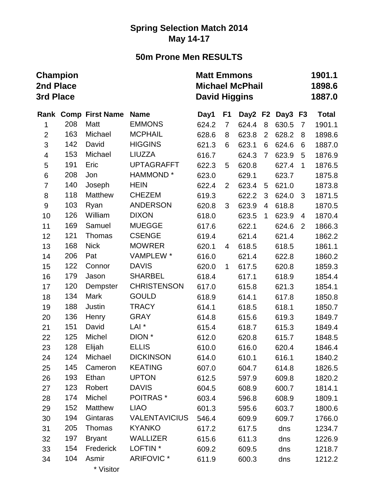## **Spring Selection Match 2014 May 14-17**

# **50m Prone Men RESULTS**

| <b>Champion</b><br>2nd Place<br>3rd Place |     |                             |                      | <b>Matt Emmons</b><br><b>Michael McPhail</b><br><b>David Higgins</b> |                |         |                |         |                |              |  |
|-------------------------------------------|-----|-----------------------------|----------------------|----------------------------------------------------------------------|----------------|---------|----------------|---------|----------------|--------------|--|
|                                           |     | <b>Rank Comp First Name</b> | <b>Name</b>          | Day1                                                                 | F <sub>1</sub> | Day2 F2 |                | Day3 F3 |                | <b>Total</b> |  |
| 1                                         | 208 | Matt                        | <b>EMMONS</b>        | 624.2                                                                | $\overline{7}$ | 624.4   | 8              | 630.5   | $\overline{7}$ | 1901.1       |  |
| $\overline{2}$                            | 163 | Michael                     | <b>MCPHAIL</b>       | 628.6                                                                | 8              | 623.8   | $\overline{2}$ | 628.2   | 8              | 1898.6       |  |
| 3                                         | 142 | David                       | <b>HIGGINS</b>       | 621.3                                                                | 6              | 623.1   | 6              | 624.6   | 6              | 1887.0       |  |
| $\overline{\mathbf{4}}$                   | 153 | Michael                     | <b>LIUZZA</b>        | 616.7                                                                |                | 624.3   | $\overline{7}$ | 623.9   | 5              | 1876.9       |  |
| 5                                         | 191 | Eric                        | <b>UPTAGRAFFT</b>    | 622.3                                                                | 5              | 620.8   |                | 627.4   | $\mathbf 1$    | 1876.5       |  |
| 6                                         | 208 | Jon                         | HAMMOND <sup>*</sup> | 623.0                                                                |                | 629.1   |                | 623.7   |                | 1875.8       |  |
| $\overline{7}$                            | 140 | Joseph                      | <b>HEIN</b>          | 622.4                                                                | $\overline{2}$ | 623.4   | 5              | 621.0   |                | 1873.8       |  |
| 8                                         | 118 | <b>Matthew</b>              | <b>CHEZEM</b>        | 619.3                                                                |                | 622.2   | 3              | 624.0   | 3              | 1871.5       |  |
| $\boldsymbol{9}$                          | 103 | Ryan                        | <b>ANDERSON</b>      | 620.8                                                                | 3              | 623.9   | 4              | 618.8   |                | 1870.5       |  |
| 10                                        | 126 | William                     | <b>DIXON</b>         | 618.0                                                                |                | 623.5   | 1              | 623.9   | 4              | 1870.4       |  |
| 11                                        | 169 | Samuel                      | <b>MUEGGE</b>        | 617.6                                                                |                | 622.1   |                | 624.6   | 2              | 1866.3       |  |
| 12                                        | 121 | Thomas                      | <b>CSENGE</b>        | 619.4                                                                |                | 621.4   |                | 621.4   |                | 1862.2       |  |
| 13                                        | 168 | <b>Nick</b>                 | <b>MOWRER</b>        | 620.1                                                                | 4              | 618.5   |                | 618.5   |                | 1861.1       |  |
| 14                                        | 206 | Pat                         | VAMPLEW *            | 616.0                                                                |                | 621.4   |                | 622.8   |                | 1860.2       |  |
| 15                                        | 122 | Connor                      | <b>DAVIS</b>         | 620.0                                                                | $\mathbf 1$    | 617.5   |                | 620.8   |                | 1859.3       |  |
| 16                                        | 179 | Jason                       | <b>SHARBEL</b>       | 618.4                                                                |                | 617.1   |                | 618.9   |                | 1854.4       |  |
| 17                                        | 120 | Dempster                    | <b>CHRISTENSON</b>   | 617.0                                                                |                | 615.8   |                | 621.3   |                | 1854.1       |  |
| 18                                        | 134 | Mark                        | <b>GOULD</b>         | 618.9                                                                |                | 614.1   |                | 617.8   |                | 1850.8       |  |
| 19                                        | 188 | Justin                      | <b>TRACY</b>         | 614.1                                                                |                | 618.5   |                | 618.1   |                | 1850.7       |  |
| 20                                        | 136 | Henry                       | <b>GRAY</b>          | 614.8                                                                |                | 615.6   |                | 619.3   |                | 1849.7       |  |
| 21                                        | 151 | David                       | LAI <sup>*</sup>     | 615.4                                                                |                | 618.7   |                | 615.3   |                | 1849.4       |  |
| 22                                        | 125 | Michel                      | DION <sup>*</sup>    | 612.0                                                                |                | 620.8   |                | 615.7   |                | 1848.5       |  |
| 23                                        | 128 | Elijah                      | <b>ELLIS</b>         | 610.0                                                                |                | 616.0   |                | 620.4   |                | 1846.4       |  |
| 24                                        | 124 | Michael                     | <b>DICKINSON</b>     | 614.0                                                                |                | 610.1   |                | 616.1   |                | 1840.2       |  |
| 25                                        | 145 | Cameron                     | <b>KEATING</b>       | 607.0                                                                |                | 604.7   |                | 614.8   |                | 1826.5       |  |
| 26                                        | 193 | Ethan                       | <b>UPTON</b>         | 612.5                                                                |                | 597.9   |                | 609.8   |                | 1820.2       |  |
| 27                                        | 123 | Robert                      | <b>DAVIS</b>         | 604.5                                                                |                | 608.9   |                | 600.7   |                | 1814.1       |  |
| 28                                        | 174 | Michel                      | <b>POITRAS*</b>      | 603.4                                                                |                | 596.8   |                | 608.9   |                | 1809.1       |  |
| 29                                        | 152 | <b>Matthew</b>              | <b>LIAO</b>          | 601.3                                                                |                | 595.6   |                | 603.7   |                | 1800.6       |  |
| 30                                        | 194 | Gintaras                    | <b>VALENTAVICIUS</b> | 546.4                                                                |                | 609.9   |                | 609.7   |                | 1766.0       |  |
| 31                                        | 205 | Thomas                      | <b>KYANKO</b>        | 617.2                                                                |                | 617.5   |                | dns     |                | 1234.7       |  |
| 32                                        | 197 | <b>Bryant</b>               | <b>WALLIZER</b>      | 615.6                                                                |                | 611.3   |                | dns     |                | 1226.9       |  |
| 33                                        | 154 | Frederick                   | LOFTIN <sup>*</sup>  | 609.2                                                                |                | 609.5   |                | dns     |                | 1218.7       |  |
| 34                                        | 104 | Asmir                       | <b>ARIFOVIC*</b>     | 611.9                                                                |                | 600.3   |                | dns     |                | 1212.2       |  |
|                                           |     | * Visitor                   |                      |                                                                      |                |         |                |         |                |              |  |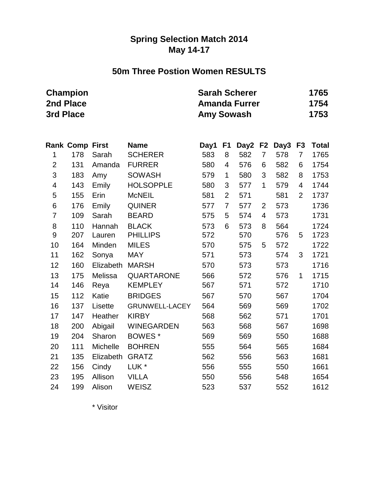### **Spring Selection Match 2014 May 14-17**

### **50m Three Postion Women RESULTS**

| <b>Champion</b> |       | <b>Sarah Scherer</b>                  | 1765 |
|-----------------|-------|---------------------------------------|------|
| 2nd Place       |       | <b>Amanda Furrer</b>                  | 1754 |
| 3rd Place       |       | <b>Amy Sowash</b>                     | 1753 |
| Dank Camp Eirct | Nlomo | $Day4$ E4 $Day2$ E2 $Day2$ E2 $Tafal$ |      |

|                         | Rank Comp First |           | name                  | Day⊺ | F1             |     |                | Dayz FZ Days | гs             | <u>i</u> otal |
|-------------------------|-----------------|-----------|-----------------------|------|----------------|-----|----------------|--------------|----------------|---------------|
| 1                       | 178             | Sarah     | <b>SCHERER</b>        | 583  | 8              | 582 | $\overline{7}$ | 578          | 7              | 1765          |
| $\overline{2}$          | 131             | Amanda    | <b>FURRER</b>         | 580  | 4              | 576 | 6              | 582          | 6              | 1754          |
| 3                       | 183             | Amy       | <b>SOWASH</b>         | 579  | 1              | 580 | 3              | 582          | 8              | 1753          |
| $\overline{\mathbf{4}}$ | 143             | Emily     | <b>HOLSOPPLE</b>      | 580  | 3              | 577 | 1              | 579          | 4              | 1744          |
| 5                       | 155             | Erin      | <b>McNEIL</b>         | 581  | $\overline{2}$ | 571 |                | 581          | $\overline{2}$ | 1737          |
| 6                       | 176             | Emily     | <b>QUINER</b>         | 577  | $\overline{7}$ | 577 | 2              | 573          |                | 1736          |
| 7                       | 109             | Sarah     | <b>BEARD</b>          | 575  | 5              | 574 | 4              | 573          |                | 1731          |
| 8                       | 110             | Hannah    | <b>BLACK</b>          | 573  | 6              | 573 | 8              | 564          |                | 1724          |
| 9                       | 207             | Lauren    | <b>PHILLIPS</b>       | 572  |                | 570 |                | 576          | 5              | 1723          |
| 10                      | 164             | Minden    | <b>MILES</b>          | 570  |                | 575 | 5              | 572          |                | 1722          |
| 11                      | 162             | Sonya     | <b>MAY</b>            | 571  |                | 573 |                | 574          | 3              | 1721          |
| 12                      | 160             | Elizabeth | <b>MARSH</b>          | 570  |                | 573 |                | 573          |                | 1716          |
| 13                      | 175             | Melissa   | <b>QUARTARONE</b>     | 566  |                | 572 |                | 576          | $\mathbf{1}$   | 1715          |
| 14                      | 146             | Reya      | <b>KEMPLEY</b>        | 567  |                | 571 |                | 572          |                | 1710          |
| 15                      | 112             | Katie     | <b>BRIDGES</b>        | 567  |                | 570 |                | 567          |                | 1704          |
| 16                      | 137             | Lisette   | <b>GRUNWELL-LACEY</b> | 564  |                | 569 |                | 569          |                | 1702          |
| 17                      | 147             | Heather   | <b>KIRBY</b>          | 568  |                | 562 |                | 571          |                | 1701          |
| 18                      | 200             | Abigail   | <b>WINEGARDEN</b>     | 563  |                | 568 |                | 567          |                | 1698          |
| 19                      | 204             | Sharon    | BOWES*                | 569  |                | 569 |                | 550          |                | 1688          |
| 20                      | 111             | Michelle  | <b>BOHREN</b>         | 555  |                | 564 |                | 565          |                | 1684          |
| 21                      | 135             | Elizabeth | <b>GRATZ</b>          | 562  |                | 556 |                | 563          |                | 1681          |
| 22                      | 156             | Cindy     | LUK *                 | 556  |                | 555 |                | 550          |                | 1661          |
| 23                      | 195             | Allison   | <b>VILLA</b>          | 550  |                | 556 |                | 548          |                | 1654          |
| 24                      | 199             | Alison    | <b>WEISZ</b>          | 523  |                | 537 |                | 552          |                | 1612          |

\* Visitor